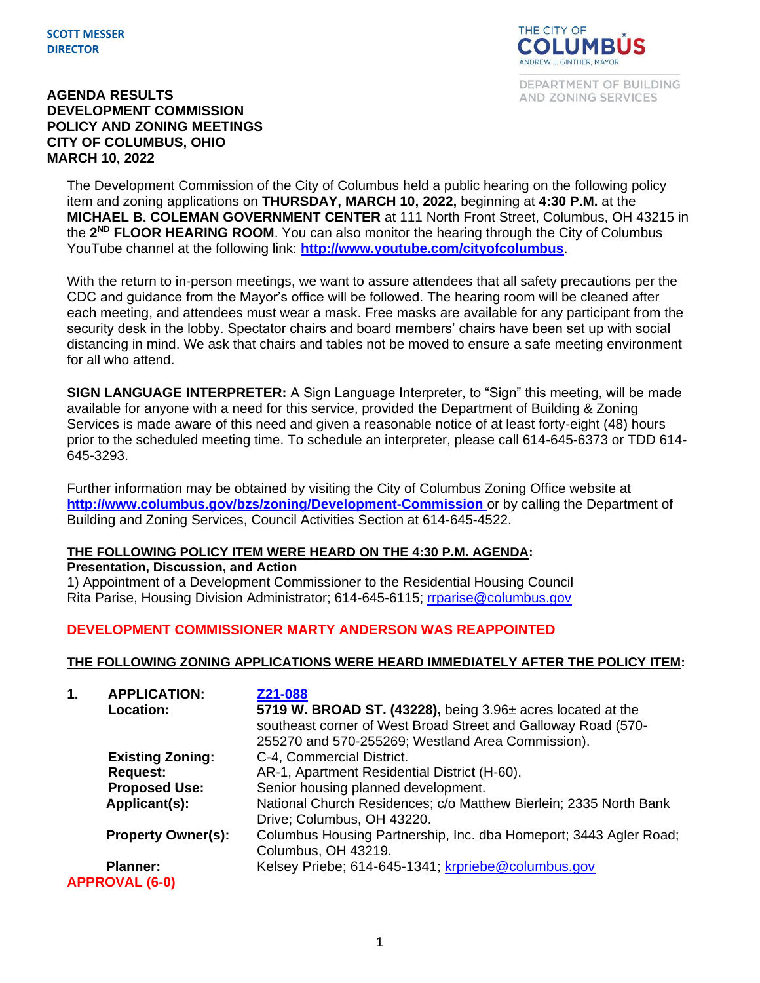

DEPARTMENT OF BUILDING AND ZONING SERVICES

#### **AGENDA RESULTS DEVELOPMENT COMMISSION POLICY AND ZONING MEETINGS CITY OF COLUMBUS, OHIO MARCH 10, 2022**

The Development Commission of the City of Columbus held a public hearing on the following policy item and zoning applications on **THURSDAY, MARCH 10, 2022,** beginning at **4:30 P.M.** at the **MICHAEL B. COLEMAN GOVERNMENT CENTER** at 111 North Front Street, Columbus, OH 43215 in the **2 ND FLOOR HEARING ROOM**. You can also monitor the hearing through the City of Columbus YouTube channel at the following link: **<http://www.youtube.com/cityofcolumbus>**.

With the return to in-person meetings, we want to assure attendees that all safety precautions per the CDC and guidance from the Mayor's office will be followed. The hearing room will be cleaned after each meeting, and attendees must wear a mask. Free masks are available for any participant from the security desk in the lobby. Spectator chairs and board members' chairs have been set up with social distancing in mind. We ask that chairs and tables not be moved to ensure a safe meeting environment for all who attend.

**SIGN LANGUAGE INTERPRETER:** A Sign Language Interpreter, to "Sign" this meeting, will be made available for anyone with a need for this service, provided the Department of Building & Zoning Services is made aware of this need and given a reasonable notice of at least forty-eight (48) hours prior to the scheduled meeting time. To schedule an interpreter, please call 614-645-6373 or TDD 614- 645-3293.

Further information may be obtained by visiting the City of Columbus Zoning Office website at **http://www.columbus.gov/bzs/zoning/Development-Commission** or by calling the Department of Building and Zoning Services, Council Activities Section at 614-645-4522.

### **THE FOLLOWING POLICY ITEM WERE HEARD ON THE 4:30 P.M. AGENDA:**

**Presentation, Discussion, and Action**

1) Appointment of a Development Commissioner to the Residential Housing Council Rita Parise, Housing Division Administrator; 614-645-6115; [rrparise@columbus.gov](mailto:rrparise@columbus.gov)

### **DEVELOPMENT COMMISSIONER MARTY ANDERSON WAS REAPPOINTED**

#### **THE FOLLOWING ZONING APPLICATIONS WERE HEARD IMMEDIATELY AFTER THE POLICY ITEM:**

| 1. | <b>APPLICATION:</b>       | Z21-088                                                           |
|----|---------------------------|-------------------------------------------------------------------|
|    | Location:                 | 5719 W. BROAD ST. (43228), being $3.96\pm$ acres located at the   |
|    |                           | southeast corner of West Broad Street and Galloway Road (570-     |
|    |                           | 255270 and 570-255269; Westland Area Commission).                 |
|    | <b>Existing Zoning:</b>   | C-4, Commercial District.                                         |
|    | <b>Request:</b>           | AR-1, Apartment Residential District (H-60).                      |
|    | <b>Proposed Use:</b>      | Senior housing planned development.                               |
|    | Applicant(s):             | National Church Residences; c/o Matthew Bierlein; 2335 North Bank |
|    |                           | Drive; Columbus, OH 43220.                                        |
|    | <b>Property Owner(s):</b> | Columbus Housing Partnership, Inc. dba Homeport; 3443 Agler Road; |
|    |                           | Columbus, OH 43219.                                               |
|    | <b>Planner:</b>           | Kelsey Priebe; 614-645-1341; krpriebe@columbus.gov                |
|    | <b>APPROVAL (6-0)</b>     |                                                                   |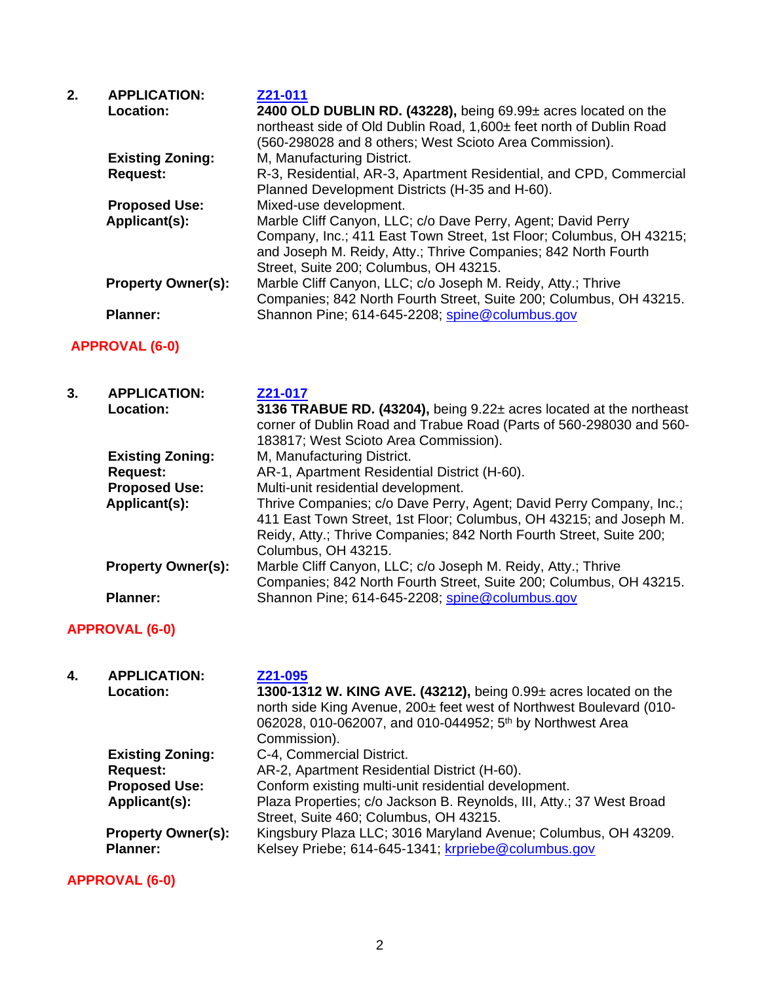| 2. | <b>APPLICATION:</b><br>Location: | Z21-011<br>2400 OLD DUBLIN RD. (43228), being 69.99± acres located on the<br>northeast side of Old Dublin Road, 1,600± feet north of Dublin Road<br>(560-298028 and 8 others; West Scioto Area Commission).                                     |
|----|----------------------------------|-------------------------------------------------------------------------------------------------------------------------------------------------------------------------------------------------------------------------------------------------|
|    | <b>Existing Zoning:</b>          | M, Manufacturing District.                                                                                                                                                                                                                      |
|    | <b>Request:</b>                  | R-3, Residential, AR-3, Apartment Residential, and CPD, Commercial<br>Planned Development Districts (H-35 and H-60).                                                                                                                            |
|    | <b>Proposed Use:</b>             | Mixed-use development.                                                                                                                                                                                                                          |
|    | Applicant(s):                    | Marble Cliff Canyon, LLC; c/o Dave Perry, Agent; David Perry<br>Company, Inc.; 411 East Town Street, 1st Floor; Columbus, OH 43215;<br>and Joseph M. Reidy, Atty.; Thrive Companies; 842 North Fourth<br>Street, Suite 200; Columbus, OH 43215. |
|    | <b>Property Owner(s):</b>        | Marble Cliff Canyon, LLC; c/o Joseph M. Reidy, Atty.; Thrive<br>Companies; 842 North Fourth Street, Suite 200; Columbus, OH 43215.                                                                                                              |
|    | <b>Planner:</b>                  | Shannon Pine; 614-645-2208; spine@columbus.gov                                                                                                                                                                                                  |

# **APPROVAL (6-0)**

| 3. | <b>APPLICATION:</b>       | Z21-017                                                                                                                                                                                                                                 |
|----|---------------------------|-----------------------------------------------------------------------------------------------------------------------------------------------------------------------------------------------------------------------------------------|
|    | Location:                 | 3136 TRABUE RD. (43204), being 9.22± acres located at the northeast                                                                                                                                                                     |
|    |                           | corner of Dublin Road and Trabue Road (Parts of 560-298030 and 560-                                                                                                                                                                     |
|    |                           | 183817; West Scioto Area Commission).                                                                                                                                                                                                   |
|    | <b>Existing Zoning:</b>   | M, Manufacturing District.                                                                                                                                                                                                              |
|    | <b>Request:</b>           | AR-1, Apartment Residential District (H-60).                                                                                                                                                                                            |
|    | <b>Proposed Use:</b>      | Multi-unit residential development.                                                                                                                                                                                                     |
|    | Applicant(s):             | Thrive Companies; c/o Dave Perry, Agent; David Perry Company, Inc.;<br>411 East Town Street, 1st Floor; Columbus, OH 43215; and Joseph M.<br>Reidy, Atty.; Thrive Companies; 842 North Fourth Street, Suite 200;<br>Columbus, OH 43215. |
|    | <b>Property Owner(s):</b> | Marble Cliff Canyon, LLC; c/o Joseph M. Reidy, Atty.; Thrive<br>Companies; 842 North Fourth Street, Suite 200; Columbus, OH 43215.                                                                                                      |
|    | <b>Planner:</b>           | Shannon Pine; 614-645-2208; spine@columbus.gov                                                                                                                                                                                          |

# **APPROVAL (6-0)**

| 4. | <b>APPLICATION:</b>                          | Z21-095                                                                                                                                                                                                                          |
|----|----------------------------------------------|----------------------------------------------------------------------------------------------------------------------------------------------------------------------------------------------------------------------------------|
|    | <b>Location:</b>                             | 1300-1312 W. KING AVE. (43212), being 0.99± acres located on the<br>north side King Avenue, 200± feet west of Northwest Boulevard (010-<br>062028, 010-062007, and 010-044952; 5 <sup>th</sup> by Northwest Area<br>Commission). |
|    | <b>Existing Zoning:</b>                      | C-4, Commercial District.                                                                                                                                                                                                        |
|    | <b>Request:</b>                              | AR-2, Apartment Residential District (H-60).                                                                                                                                                                                     |
|    | <b>Proposed Use:</b>                         | Conform existing multi-unit residential development.                                                                                                                                                                             |
|    | Applicant(s):                                | Plaza Properties; c/o Jackson B. Reynolds, III, Atty.; 37 West Broad<br>Street, Suite 460; Columbus, OH 43215.                                                                                                                   |
|    | <b>Property Owner(s):</b><br><b>Planner:</b> | Kingsbury Plaza LLC; 3016 Maryland Avenue; Columbus, OH 43209.<br>Kelsey Priebe; 614-645-1341; krpriebe@columbus.gov                                                                                                             |

**APPROVAL (6-0)**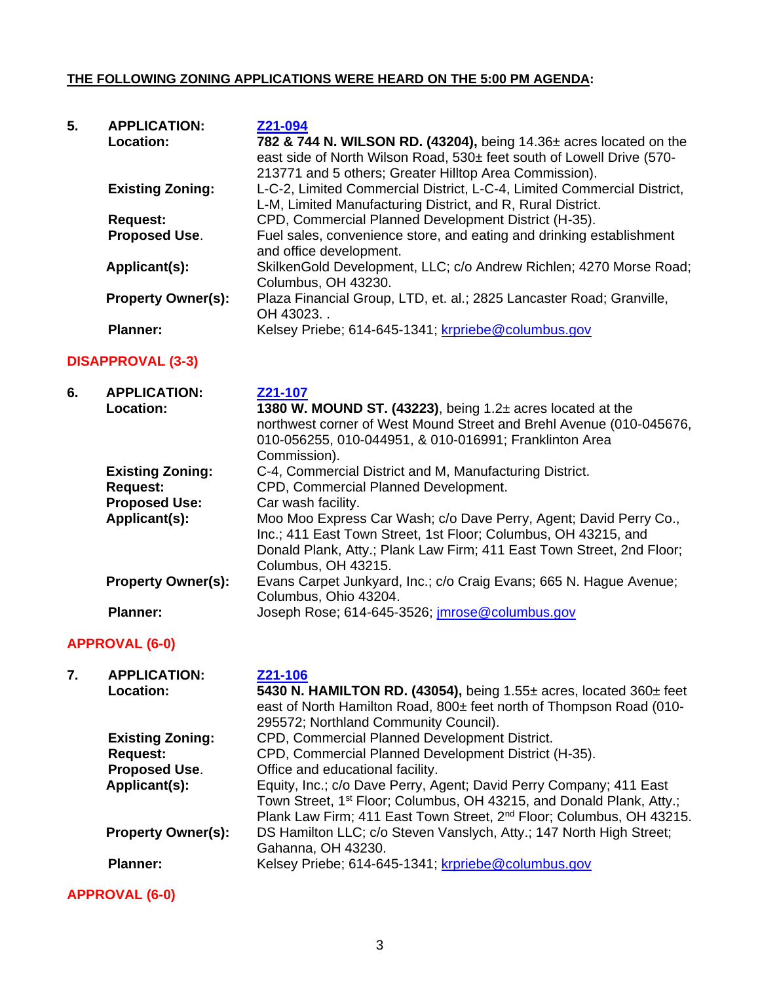### **THE FOLLOWING ZONING APPLICATIONS WERE HEARD ON THE 5:00 PM AGENDA:**

| 5. | <b>APPLICATION:</b><br>Location: | Z21-094<br>782 & 744 N. WILSON RD. (43204), being 14.36± acres located on the<br>east side of North Wilson Road, 530± feet south of Lowell Drive (570-<br>213771 and 5 others; Greater Hilltop Area Commission). |
|----|----------------------------------|------------------------------------------------------------------------------------------------------------------------------------------------------------------------------------------------------------------|
|    | <b>Existing Zoning:</b>          | L-C-2, Limited Commercial District, L-C-4, Limited Commercial District,<br>L-M, Limited Manufacturing District, and R, Rural District.                                                                           |
|    | <b>Request:</b>                  | CPD, Commercial Planned Development District (H-35).                                                                                                                                                             |
|    | <b>Proposed Use.</b>             | Fuel sales, convenience store, and eating and drinking establishment<br>and office development.                                                                                                                  |
|    | Applicant(s):                    | SkilkenGold Development, LLC; c/o Andrew Richlen; 4270 Morse Road;<br>Columbus, OH 43230.                                                                                                                        |
|    | <b>Property Owner(s):</b>        | Plaza Financial Group, LTD, et. al.; 2825 Lancaster Road; Granville,<br>OH 43023.                                                                                                                                |
|    | <b>Planner:</b>                  | Kelsey Priebe; 614-645-1341; krpriebe@columbus.gov                                                                                                                                                               |

### **DISAPPROVAL (3-3)**

| 6. | <b>APPLICATION:</b>       | Z21-107                                                               |
|----|---------------------------|-----------------------------------------------------------------------|
|    | <b>Location:</b>          | 1380 W. MOUND ST. (43223), being $1.2\pm$ acres located at the        |
|    |                           | northwest corner of West Mound Street and Brehl Avenue (010-045676,   |
|    |                           | 010-056255, 010-044951, & 010-016991; Franklinton Area                |
|    |                           | Commission).                                                          |
|    | <b>Existing Zoning:</b>   | C-4, Commercial District and M, Manufacturing District.               |
|    | <b>Request:</b>           | CPD, Commercial Planned Development.                                  |
|    | <b>Proposed Use:</b>      | Car wash facility.                                                    |
|    | Applicant(s):             | Moo Moo Express Car Wash; c/o Dave Perry, Agent; David Perry Co.,     |
|    |                           | Inc.; 411 East Town Street, 1st Floor; Columbus, OH 43215, and        |
|    |                           | Donald Plank, Atty.; Plank Law Firm; 411 East Town Street, 2nd Floor; |
|    |                           | Columbus, OH 43215.                                                   |
|    | <b>Property Owner(s):</b> | Evans Carpet Junkyard, Inc.; c/o Craig Evans; 665 N. Hague Avenue;    |
|    |                           | Columbus, Ohio 43204.                                                 |
|    | <b>Planner:</b>           | Joseph Rose; 614-645-3526; imrose@columbus.gov                        |

# **APPROVAL (6-0)**

| 7. | <b>APPLICATION:</b>       | Z21-106                                                                          |
|----|---------------------------|----------------------------------------------------------------------------------|
|    | Location:                 | 5430 N. HAMILTON RD. (43054), being $1.55\pm$ acres, located $360\pm$ feet       |
|    |                           | east of North Hamilton Road, 800± feet north of Thompson Road (010-              |
|    |                           | 295572; Northland Community Council).                                            |
|    | <b>Existing Zoning:</b>   | CPD, Commercial Planned Development District.                                    |
|    | <b>Request:</b>           | CPD, Commercial Planned Development District (H-35).                             |
|    | <b>Proposed Use.</b>      | Office and educational facility.                                                 |
|    | Applicant(s):             | Equity, Inc.; c/o Dave Perry, Agent; David Perry Company; 411 East               |
|    |                           | Town Street, 1 <sup>st</sup> Floor; Columbus, OH 43215, and Donald Plank, Atty.; |
|    |                           | Plank Law Firm; 411 East Town Street, 2 <sup>nd</sup> Floor; Columbus, OH 43215. |
|    | <b>Property Owner(s):</b> | DS Hamilton LLC; c/o Steven Vanslych, Atty.; 147 North High Street;              |
|    |                           | Gahanna, OH 43230.                                                               |
|    | <b>Planner:</b>           | Kelsey Priebe; 614-645-1341; krpriebe@columbus.gov                               |
|    | <b>APPROVAL (6-0)</b>     |                                                                                  |